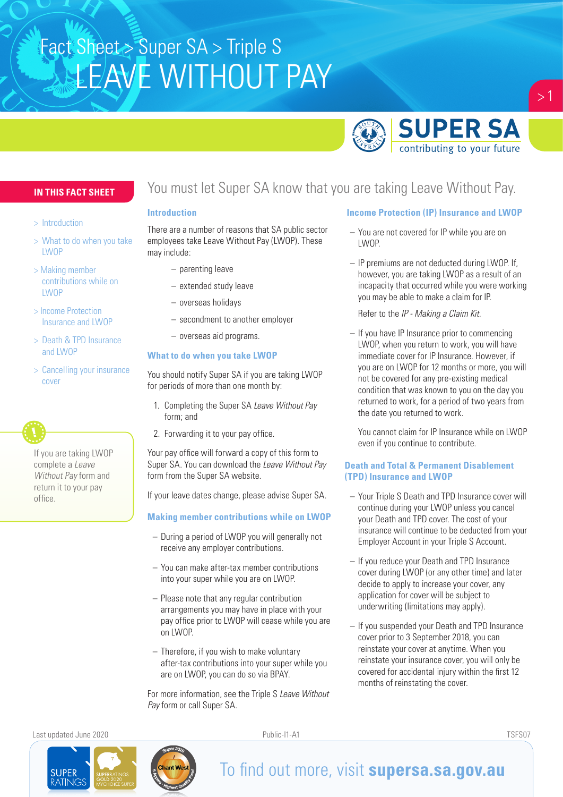# **LEAVE WITHOUT PAY** Fact Sheet > Super SA > Triple S



## **IN THIS FACT SHEET**

- > Introduction
- > What to do when you take LWOP
- > Making member contributions while on **LWOP**
- > Income Protection Insurance and LWOP
- > Death & TPD Insurance and LWOP
- > Cancelling your insurance cover



# You must let Super SA know that you are taking Leave Without Pay.

#### **Introduction**

There are a number of reasons that SA public sector employees take Leave Without Pay (LWOP). These may include:

- parenting leave
- extended study leave
- overseas holidays
- secondment to another employer
- overseas aid programs.

### **What to do when you take LWOP**

You should notify Super SA if you are taking LWOP for periods of more than one month by:

- 1. Completing the Super SA *Leave Without Pay* form; and
- 2. Forwarding it to your pay office.

Your pay office will forward a copy of this form to Super SA. You can download the *Leave Without Pay* form from the Super SA website.

If your leave dates change, please advise Super SA.

### **Making member contributions while on LWOP**

- During a period of LWOP you will generally not receive any employer contributions.
- You can make after-tax member contributions into your super while you are on LWOP.
- Please note that any regular contribution arrangements you may have in place with your pay office prior to LWOP will cease while you are on LWOP.
- Therefore, if you wish to make voluntary after-tax contributions into your super while you are on LWOP, you can do so via BPAY.

For more information, see the Triple S *Leave Without Pay* form or call Super SA.

## **Income Protection (IP) Insurance and LWOP**

- You are not covered for IP while you are on LWOP.
- IP premiums are not deducted during LWOP. If, however, you are taking LWOP as a result of an incapacity that occurred while you were working you may be able to make a claim for IP.

Refer to the *IP - Making a Claim Kit*.

– If you have IP Insurance prior to commencing LWOP, when you return to work, you will have immediate cover for IP Insurance. However, if you are on LWOP for 12 months or more, you will not be covered for any pre-existing medical condition that was known to you on the day you returned to work, for a period of two years from the date you returned to work.

You cannot claim for IP Insurance while on LWOP even if you continue to contribute.

#### **Death and Total & Permanent Disablement (TPD) Insurance and LWOP**

- Your Triple S Death and TPD Insurance cover will continue during your LWOP unless you cancel your Death and TPD cover. The cost of your insurance will continue to be deducted from your Employer Account in your Triple S Account.
- If you reduce your Death and TPD Insurance cover during LWOP (or any other time) and later decide to apply to increase your cover, any application for cover will be subject to underwriting (limitations may apply).
- If you suspended your Death and TPD Insurance cover prior to 3 September 2018, you can reinstate your cover at anytime. When you reinstate your insurance cover, you will only be covered for accidental injury within the first 12 months of reinstating the cover.

Last updated June 2020 Public-I1-A1 TSFS07

**SUPER ATING** 



# To find out more, visit **supersa.sa.gov.au**